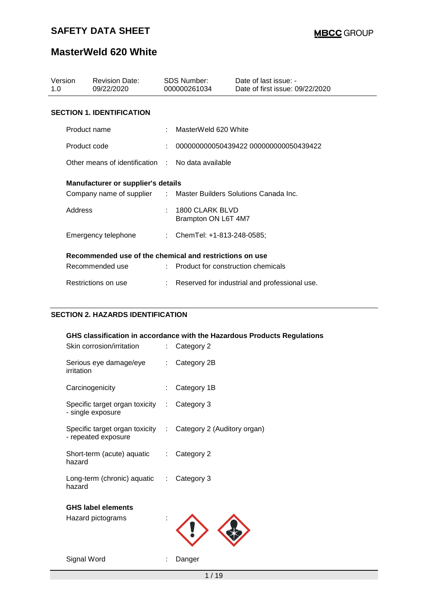## **MasterWeld 620 White**

| Version<br>1.O |                                  | <b>Revision Date:</b><br>09/22/2020                              |  | SDS Number:<br>000000261034            | Date of last issue: -<br>Date of first issue: 09/22/2020 |  |  |  |
|----------------|----------------------------------|------------------------------------------------------------------|--|----------------------------------------|----------------------------------------------------------|--|--|--|
|                | <b>SECTION 1. IDENTIFICATION</b> |                                                                  |  |                                        |                                                          |  |  |  |
|                | Product name                     |                                                                  |  | MasterWeld 620 White                   |                                                          |  |  |  |
|                | Product code                     |                                                                  |  |                                        | 000000000050439422 000000000050439422                    |  |  |  |
|                |                                  | Other means of identification : No data available                |  |                                        |                                                          |  |  |  |
|                |                                  | Manufacturer or supplier's details                               |  |                                        |                                                          |  |  |  |
|                |                                  | Company name of supplier : Master Builders Solutions Canada Inc. |  |                                        |                                                          |  |  |  |
|                | Address                          |                                                                  |  | 1800 CLARK BLVD<br>Brampton ON L6T 4M7 |                                                          |  |  |  |
|                |                                  | Emergency telephone                                              |  | : ChemTel: +1-813-248-0585;            |                                                          |  |  |  |
|                |                                  | Recommended use of the chemical and restrictions on use          |  |                                        |                                                          |  |  |  |
|                |                                  | Recommended use                                                  |  | : Product for construction chemicals   |                                                          |  |  |  |
|                |                                  | Restrictions on use                                              |  |                                        | Reserved for industrial and professional use.            |  |  |  |

#### **SECTION 2. HAZARDS IDENTIFICATION**

| Skin corrosion/irritation                                                           | t.                        | GHS classification in accordance with the Hazardous Products Regulations<br>Category 2 |
|-------------------------------------------------------------------------------------|---------------------------|----------------------------------------------------------------------------------------|
| Serious eye damage/eye<br>irritation                                                | $\mathbb{Z}^{\mathbb{Z}}$ | Category 2B                                                                            |
| Carcinogenicity                                                                     | ÷                         | Category 1B                                                                            |
| Specific target organ toxicity : Category 3<br>- single exposure                    |                           |                                                                                        |
| Specific target organ toxicity : Category 2 (Auditory organ)<br>- repeated exposure |                           |                                                                                        |
| Short-term (acute) aquatic : Category 2<br>hazard                                   |                           |                                                                                        |
| Long-term (chronic) aquatic : Category 3<br>hazard                                  |                           |                                                                                        |
| <b>GHS label elements</b><br>Hazard pictograms                                      |                           |                                                                                        |
| Signal Word                                                                         |                           | Danger                                                                                 |

 $1 / 19$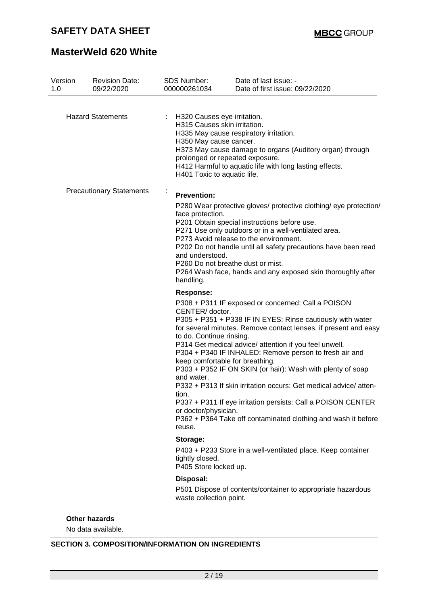# **MasterWeld 620 White**

| Version<br>1.0 | <b>Revision Date:</b><br>09/22/2020 |   | <b>SDS Number:</b><br>000000261034                                                                                                                         | Date of last issue: -<br>Date of first issue: 09/22/2020                                                                                                                                                                                                                                                                                                                                                                                                                                                                                                                   |
|----------------|-------------------------------------|---|------------------------------------------------------------------------------------------------------------------------------------------------------------|----------------------------------------------------------------------------------------------------------------------------------------------------------------------------------------------------------------------------------------------------------------------------------------------------------------------------------------------------------------------------------------------------------------------------------------------------------------------------------------------------------------------------------------------------------------------------|
|                | <b>Hazard Statements</b>            |   | H320 Causes eye irritation.<br>H315 Causes skin irritation.<br>H350 May cause cancer.                                                                      | H335 May cause respiratory irritation.<br>H373 May cause damage to organs (Auditory organ) through                                                                                                                                                                                                                                                                                                                                                                                                                                                                         |
|                |                                     |   | prolonged or repeated exposure.<br>H401 Toxic to aquatic life.                                                                                             | H412 Harmful to aquatic life with long lasting effects.                                                                                                                                                                                                                                                                                                                                                                                                                                                                                                                    |
|                | <b>Precautionary Statements</b>     | ÷ | <b>Prevention:</b><br>face protection.<br>and understood.<br>P260 Do not breathe dust or mist.<br>handling.                                                | P280 Wear protective gloves/ protective clothing/ eye protection/<br>P201 Obtain special instructions before use.<br>P271 Use only outdoors or in a well-ventilated area.<br>P273 Avoid release to the environment.<br>P202 Do not handle until all safety precautions have been read<br>P264 Wash face, hands and any exposed skin thoroughly after                                                                                                                                                                                                                       |
|                |                                     |   | <b>Response:</b><br>CENTER/doctor.<br>to do. Continue rinsing.<br>keep comfortable for breathing.<br>and water.<br>tion.<br>or doctor/physician.<br>reuse. | P308 + P311 IF exposed or concerned: Call a POISON<br>P305 + P351 + P338 IF IN EYES: Rinse cautiously with water<br>for several minutes. Remove contact lenses, if present and easy<br>P314 Get medical advice/ attention if you feel unwell.<br>P304 + P340 IF INHALED: Remove person to fresh air and<br>P303 + P352 IF ON SKIN (or hair): Wash with plenty of soap<br>P332 + P313 If skin irritation occurs: Get medical advice/atten-<br>P337 + P311 If eye irritation persists: Call a POISON CENTER<br>P362 + P364 Take off contaminated clothing and wash it before |
|                |                                     |   | Storage:<br>tightly closed.<br>P405 Store locked up.                                                                                                       | P403 + P233 Store in a well-ventilated place. Keep container                                                                                                                                                                                                                                                                                                                                                                                                                                                                                                               |
|                |                                     |   | Disposal:<br>waste collection point.                                                                                                                       | P501 Dispose of contents/container to appropriate hazardous                                                                                                                                                                                                                                                                                                                                                                                                                                                                                                                |
|                | <b>Other hazards</b>                |   |                                                                                                                                                            |                                                                                                                                                                                                                                                                                                                                                                                                                                                                                                                                                                            |

No data available.

#### **SECTION 3. COMPOSITION/INFORMATION ON INGREDIENTS**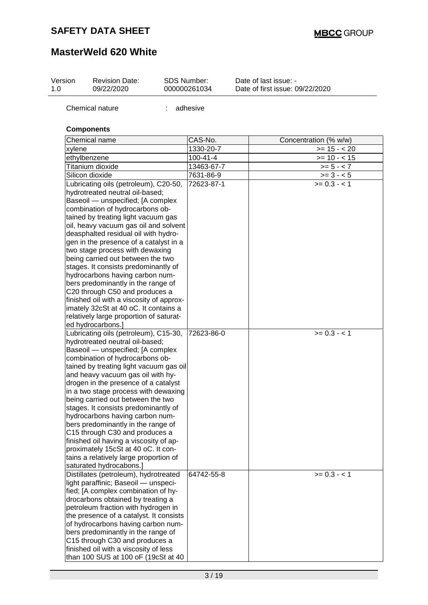| Version<br>1.0 | <b>Revision Date:</b><br>09/22/2020                                                                                                                                                                                                                                                                                                                                                                                                                                                                                                                                                                                                                                                                | <b>SDS Number:</b> | 000000261034   | Date of last issue: -<br>Date of first issue: 09/22/2020 |
|----------------|----------------------------------------------------------------------------------------------------------------------------------------------------------------------------------------------------------------------------------------------------------------------------------------------------------------------------------------------------------------------------------------------------------------------------------------------------------------------------------------------------------------------------------------------------------------------------------------------------------------------------------------------------------------------------------------------------|--------------------|----------------|----------------------------------------------------------|
|                | Chemical nature                                                                                                                                                                                                                                                                                                                                                                                                                                                                                                                                                                                                                                                                                    | t.                 | adhesive       |                                                          |
|                | <b>Components</b>                                                                                                                                                                                                                                                                                                                                                                                                                                                                                                                                                                                                                                                                                  |                    |                |                                                          |
|                | Chemical name                                                                                                                                                                                                                                                                                                                                                                                                                                                                                                                                                                                                                                                                                      |                    | CAS-No.        | Concentration (% w/w)                                    |
| xylene         |                                                                                                                                                                                                                                                                                                                                                                                                                                                                                                                                                                                                                                                                                                    |                    | 1330-20-7      | $>= 15 - 20$                                             |
|                | ethylbenzene                                                                                                                                                                                                                                                                                                                                                                                                                                                                                                                                                                                                                                                                                       |                    | $100 - 41 - 4$ | $>= 10 - 15$                                             |
|                | Titanium dioxide                                                                                                                                                                                                                                                                                                                                                                                                                                                                                                                                                                                                                                                                                   |                    | 13463-67-7     | $>= 5 - < 7$                                             |
|                | Silicon dioxide                                                                                                                                                                                                                                                                                                                                                                                                                                                                                                                                                                                                                                                                                    |                    | 7631-86-9      | $>= 3 - 5$                                               |
|                | Lubricating oils (petroleum), C20-50,<br>hydrotreated neutral oil-based;<br>Baseoil - unspecified; [A complex<br>combination of hydrocarbons ob-<br>tained by treating light vacuum gas<br>oil, heavy vacuum gas oil and solvent<br>deasphalted residual oil with hydro-<br>gen in the presence of a catalyst in a<br>two stage process with dewaxing<br>being carried out between the two<br>stages. It consists predominantly of<br>hydrocarbons having carbon num-<br>bers predominantly in the range of<br>C20 through C50 and produces a<br>finished oil with a viscosity of approx-<br>imately 32cSt at 40 oC. It contains a<br>relatively large proportion of saturat-<br>ed hydrocarbons.] |                    | 72623-87-1     | $>= 0.3 - 1$                                             |
|                | Lubricating oils (petroleum), C15-30,<br>hydrotreated neutral oil-based;<br>Baseoil - unspecified; [A complex<br>combination of hydrocarbons ob-<br>tained by treating light vacuum gas oil<br>and heavy vacuum gas oil with hy-<br>drogen in the presence of a catalyst<br>in a two stage process with dewaxing<br>being carried out between the two<br>stages. It consists predominantly of<br>hydrocarbons having carbon num-<br>bers predominantly in the range of<br>C15 through C30 and produces a<br>finished oil having a viscosity of ap-<br>proximately 15cSt at 40 oC. It con-<br>tains a relatively large proportion of<br>saturated hydrocabons.]                                     |                    | 72623-86-0     | $>= 0.3 - 1$                                             |
|                | Distillates (petroleum), hydrotreated<br>light paraffinic; Baseoil - unspeci-<br>fied; [A complex combination of hy-<br>drocarbons obtained by treating a<br>petroleum fraction with hydrogen in<br>the presence of a catalyst. It consists<br>of hydrocarbons having carbon num-<br>bers predominantly in the range of<br>C15 through C30 and produces a<br>finished oil with a viscosity of less<br>than 100 SUS at 100 oF (19cSt at 40                                                                                                                                                                                                                                                          |                    | 64742-55-8     | $>= 0.3 - 1$                                             |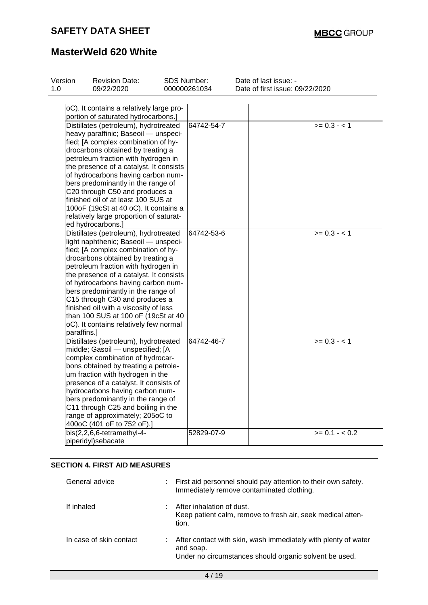# **MasterWeld 620 White**

| Version | <b>Revision Date:</b>                                                                                                                                                                                                                                                                                                                                                                                                                                                                                     | SDS Number: |              | Date of last issue: -           |
|---------|-----------------------------------------------------------------------------------------------------------------------------------------------------------------------------------------------------------------------------------------------------------------------------------------------------------------------------------------------------------------------------------------------------------------------------------------------------------------------------------------------------------|-------------|--------------|---------------------------------|
| 1.0     | 09/22/2020                                                                                                                                                                                                                                                                                                                                                                                                                                                                                                |             | 000000261034 | Date of first issue: 09/22/2020 |
|         | oC). It contains a relatively large pro-<br>portion of saturated hydrocarbons.]                                                                                                                                                                                                                                                                                                                                                                                                                           |             |              |                                 |
|         | Distillates (petroleum), hydrotreated<br>heavy paraffinic; Baseoil - unspeci-<br>fied; [A complex combination of hy-<br>drocarbons obtained by treating a<br>petroleum fraction with hydrogen in<br>the presence of a catalyst. It consists<br>of hydrocarbons having carbon num-<br>bers predominantly in the range of<br>C20 through C50 and produces a<br>finished oil of at least 100 SUS at<br>100oF (19cSt at 40 oC). It contains a<br>relatively large proportion of saturat-<br>ed hydrocarbons.] |             | 64742-54-7   | $>= 0.3 - 1$                    |
|         | Distillates (petroleum), hydrotreated<br>light naphthenic; Baseoil - unspeci-<br>fied; [A complex combination of hy-<br>drocarbons obtained by treating a<br>petroleum fraction with hydrogen in<br>the presence of a catalyst. It consists<br>of hydrocarbons having carbon num-<br>bers predominantly in the range of<br>C15 through C30 and produces a<br>finished oil with a viscosity of less<br>than 100 SUS at 100 oF (19cSt at 40<br>oC). It contains relatively few normal<br>paraffins.]        |             | 64742-53-6   | $>= 0.3 - 1$                    |
|         | Distillates (petroleum), hydrotreated<br>middle; Gasoil - unspecified; [A<br>complex combination of hydrocar-<br>bons obtained by treating a petrole-<br>um fraction with hydrogen in the<br>presence of a catalyst. It consists of<br>hydrocarbons having carbon num-<br>bers predominantly in the range of<br>C11 through C25 and boiling in the<br>range of approximately; 205oC to<br>400oC (401 oF to 752 oF).]                                                                                      |             | 64742-46-7   | $>= 0.3 - 1$                    |
|         | bis(2,2,6,6-tetramethyl-4-<br>piperidyl)sebacate                                                                                                                                                                                                                                                                                                                                                                                                                                                          |             | 52829-07-9   | $>= 0.1 - < 0.2$                |

#### **SECTION 4. FIRST AID MEASURES**

| General advice          | First aid personnel should pay attention to their own safety.<br>Immediately remove contaminated clothing.                            |
|-------------------------|---------------------------------------------------------------------------------------------------------------------------------------|
| If inhaled              | After inhalation of dust.<br>Keep patient calm, remove to fresh air, seek medical atten-<br>tion.                                     |
| In case of skin contact | After contact with skin, wash immediately with plenty of water<br>and soap.<br>Under no circumstances should organic solvent be used. |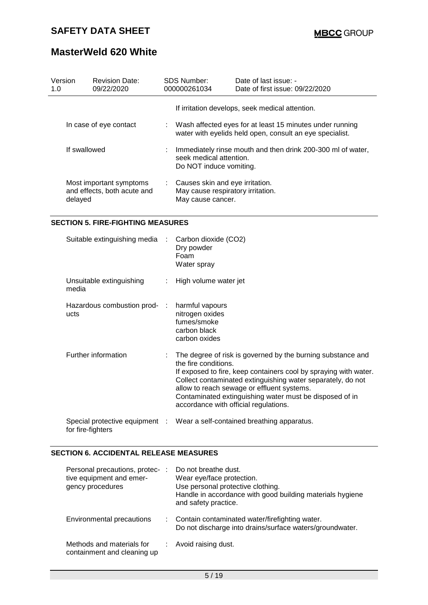| Version<br>1.0 | <b>Revision Date:</b><br>09/22/2020                    | SDS Number:<br>000000261034                                                                                       | Date of last issue: -<br>Date of first issue: 09/22/2020                                                               |  |
|----------------|--------------------------------------------------------|-------------------------------------------------------------------------------------------------------------------|------------------------------------------------------------------------------------------------------------------------|--|
|                |                                                        |                                                                                                                   | If irritation develops, seek medical attention.                                                                        |  |
|                | In case of eye contact                                 |                                                                                                                   | : Wash affected eyes for at least 15 minutes under running<br>water with eyelids held open, consult an eye specialist. |  |
| If swallowed   |                                                        | Immediately rinse mouth and then drink 200-300 ml of water,<br>seek medical attention.<br>Do NOT induce vomiting. |                                                                                                                        |  |
| delayed        | Most important symptoms<br>and effects, both acute and | : Causes skin and eye irritation.<br>May cause respiratory irritation.<br>May cause cancer.                       |                                                                                                                        |  |

#### **SECTION 5. FIRE-FIGHTING MEASURES**

| Suitable extinguishing media :       |                              | Carbon dioxide (CO2)<br>Dry powder<br>Foam<br>Water spray                                                                                                                                                                                                                                                                                                                             |
|--------------------------------------|------------------------------|---------------------------------------------------------------------------------------------------------------------------------------------------------------------------------------------------------------------------------------------------------------------------------------------------------------------------------------------------------------------------------------|
| Unsuitable extinguishing<br>media    | $\mathcal{L}_{\mathrm{max}}$ | High volume water jet                                                                                                                                                                                                                                                                                                                                                                 |
| Hazardous combustion prod- :<br>ucts |                              | harmful vapours<br>nitrogen oxides<br>fumes/smoke<br>carbon black<br>carbon oxides                                                                                                                                                                                                                                                                                                    |
| Further information                  |                              | $\therefore$ The degree of risk is governed by the burning substance and<br>the fire conditions.<br>If exposed to fire, keep containers cool by spraying with water.<br>Collect contaminated extinguishing water separately, do not<br>allow to reach sewage or effluent systems.<br>Contaminated extinguishing water must be disposed of in<br>accordance with official regulations. |
| for fire-fighters                    |                              | Special protective equipment : Wear a self-contained breathing apparatus.                                                                                                                                                                                                                                                                                                             |

#### **SECTION 6. ACCIDENTAL RELEASE MEASURES**

| Personal precautions, protec-<br>tive equipment and emer-<br>gency procedures | Do not breathe dust.<br>Wear eye/face protection.<br>Use personal protective clothing.<br>Handle in accordance with good building materials hygiene<br>and safety practice. |
|-------------------------------------------------------------------------------|-----------------------------------------------------------------------------------------------------------------------------------------------------------------------------|
| Environmental precautions                                                     | : Contain contaminated water/firefighting water.<br>Do not discharge into drains/surface waters/groundwater.                                                                |
| Methods and materials for<br>containment and cleaning up                      | Avoid raising dust.                                                                                                                                                         |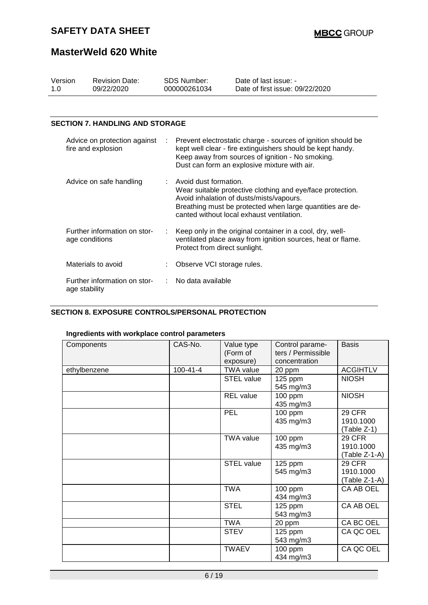### **MasterWeld 620 White**

| Version<br>1.0 | <b>Revision Date:</b><br>09/22/2020                |   | SDS Number:<br>000000261034        | Date of last issue: -<br>Date of first issue: 09/22/2020                                                                                                                                                                       |
|----------------|----------------------------------------------------|---|------------------------------------|--------------------------------------------------------------------------------------------------------------------------------------------------------------------------------------------------------------------------------|
|                |                                                    |   |                                    |                                                                                                                                                                                                                                |
|                | <b>SECTION 7. HANDLING AND STORAGE</b>             |   |                                    |                                                                                                                                                                                                                                |
|                | Advice on protection against<br>fire and explosion | ÷ |                                    | Prevent electrostatic charge - sources of ignition should be<br>kept well clear - fire extinguishers should be kept handy.<br>Keep away from sources of ignition - No smoking.<br>Dust can form an explosive mixture with air. |
|                | Advice on safe handling                            |   | $\therefore$ Avoid dust formation. | Wear suitable protective clothing and eye/face protection.<br>Avoid inhalation of dusts/mists/vapours.<br>Breathing must be protected when large quantities are de-<br>canted without local exhaust ventilation.               |
|                | Further information on stor-<br>age conditions     |   | Protect from direct sunlight.      | Keep only in the original container in a cool, dry, well-<br>ventilated place away from ignition sources, heat or flame.                                                                                                       |
|                | Materials to avoid                                 |   | Observe VCI storage rules.         |                                                                                                                                                                                                                                |
|                | Further information on stor-<br>age stability      |   | No data available                  |                                                                                                                                                                                                                                |

#### **SECTION 8. EXPOSURE CONTROLS/PERSONAL PROTECTION**

| Components   | CAS-No.        | Value type        | Control parame-    | <b>Basis</b>    |
|--------------|----------------|-------------------|--------------------|-----------------|
|              |                | (Form of          | ters / Permissible |                 |
|              |                | exposure)         | concentration      |                 |
| ethylbenzene | $100 - 41 - 4$ | <b>TWA value</b>  | 20 ppm             | <b>ACGIHTLV</b> |
|              |                | STEL value        | 125 ppm            | <b>NIOSH</b>    |
|              |                |                   | 545 mg/m3          |                 |
|              |                | <b>REL</b> value  | 100 ppm            | <b>NIOSH</b>    |
|              |                |                   | 435 mg/m3          |                 |
|              |                | <b>PEL</b>        | 100 ppm            | <b>29 CFR</b>   |
|              |                |                   | 435 mg/m3          | 1910.1000       |
|              |                |                   |                    | (Table Z-1)     |
|              |                | <b>TWA value</b>  | 100 ppm            | <b>29 CFR</b>   |
|              |                |                   | 435 mg/m3          | 1910.1000       |
|              |                |                   |                    | (Table Z-1-A)   |
|              |                | <b>STEL value</b> | 125 ppm            | <b>29 CFR</b>   |
|              |                |                   | 545 mg/m3          | 1910.1000       |
|              |                |                   |                    | (Table Z-1-A)   |
|              |                | <b>TWA</b>        | 100 ppm            | CA AB OEL       |
|              |                |                   | 434 mg/m3          |                 |
|              |                | <b>STEL</b>       | 125 ppm            | CA AB OEL       |
|              |                |                   | 543 mg/m3          |                 |
|              |                | <b>TWA</b>        | 20 ppm             | CA BC OEL       |
|              |                | <b>STEV</b>       | 125 ppm            | CA QC OEL       |
|              |                |                   | 543 mg/m3          |                 |
|              |                | <b>TWAEV</b>      | 100 ppm            | CA QC OEL       |
|              |                |                   | 434 mg/m3          |                 |

#### **Ingredients with workplace control parameters**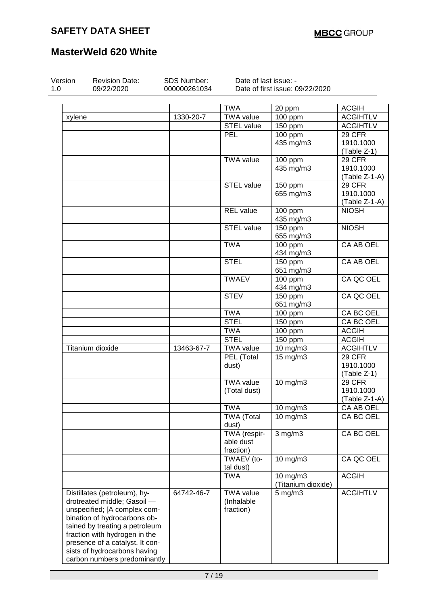| Version<br>1.0 | <b>Revision Date:</b><br>09/22/2020                                                                                                                                                                                                                               | SDS Number:<br>000000261034 | Date of last issue: -                       | Date of first issue: 09/22/2020 |                  |
|----------------|-------------------------------------------------------------------------------------------------------------------------------------------------------------------------------------------------------------------------------------------------------------------|-----------------------------|---------------------------------------------|---------------------------------|------------------|
|                |                                                                                                                                                                                                                                                                   |                             |                                             |                                 |                  |
|                |                                                                                                                                                                                                                                                                   |                             | <b>TWA</b>                                  | 20 ppm                          | <b>ACGIH</b>     |
| xylene         |                                                                                                                                                                                                                                                                   | 1330-20-7                   | <b>TWA value</b>                            | 100 ppm                         | <b>ACGIHTLV</b>  |
|                |                                                                                                                                                                                                                                                                   |                             | <b>STEL value</b>                           | 150 ppm                         | <b>ACGIHTLV</b>  |
|                |                                                                                                                                                                                                                                                                   |                             | <b>PEL</b>                                  | 100 ppm                         | 29 CFR           |
|                |                                                                                                                                                                                                                                                                   |                             |                                             | 435 mg/m3                       | 1910.1000        |
|                |                                                                                                                                                                                                                                                                   |                             |                                             |                                 | (Table Z-1)      |
|                |                                                                                                                                                                                                                                                                   |                             | <b>TWA value</b>                            | 100 ppm                         | 29 CFR           |
|                |                                                                                                                                                                                                                                                                   |                             |                                             | 435 mg/m3                       | 1910.1000        |
|                |                                                                                                                                                                                                                                                                   |                             |                                             |                                 | (Table Z-1-A)    |
|                |                                                                                                                                                                                                                                                                   |                             | STEL value                                  | 150 ppm                         | 29 CFR           |
|                |                                                                                                                                                                                                                                                                   |                             |                                             | 655 mg/m3                       | 1910.1000        |
|                |                                                                                                                                                                                                                                                                   |                             |                                             |                                 | (Table Z-1-A)    |
|                |                                                                                                                                                                                                                                                                   |                             | <b>REL</b> value                            | 100 ppm                         | <b>NIOSH</b>     |
|                |                                                                                                                                                                                                                                                                   |                             |                                             | 435 mg/m3                       |                  |
|                |                                                                                                                                                                                                                                                                   |                             | STEL value                                  | 150 ppm<br>655 mg/m3            | <b>NIOSH</b>     |
|                |                                                                                                                                                                                                                                                                   |                             | <b>TWA</b>                                  | $100$ ppm<br>434 mg/m3          | <b>CA AB OEL</b> |
|                |                                                                                                                                                                                                                                                                   |                             | <b>STEL</b>                                 | 150 ppm                         | CA AB OEL        |
|                |                                                                                                                                                                                                                                                                   |                             |                                             | 651 mg/m3                       |                  |
|                |                                                                                                                                                                                                                                                                   |                             | <b>TWAEV</b>                                | $100$ ppm                       | CA QC OEL        |
|                |                                                                                                                                                                                                                                                                   |                             |                                             | 434 mg/m3                       |                  |
|                |                                                                                                                                                                                                                                                                   |                             | <b>STEV</b>                                 | 150 ppm                         | CA QC OEL        |
|                |                                                                                                                                                                                                                                                                   |                             |                                             | 651 mg/m3                       |                  |
|                |                                                                                                                                                                                                                                                                   |                             | <b>TWA</b>                                  | 100 ppm                         | CA BC OEL        |
|                |                                                                                                                                                                                                                                                                   |                             | <b>STEL</b>                                 | 150 ppm                         | <b>CA BC OEL</b> |
|                |                                                                                                                                                                                                                                                                   |                             | <b>TWA</b>                                  | 100 ppm                         | <b>ACGIH</b>     |
|                |                                                                                                                                                                                                                                                                   |                             | <b>STEL</b>                                 | 150 ppm                         | <b>ACGIH</b>     |
|                | Titanium dioxide                                                                                                                                                                                                                                                  | 13463-67-7                  | <b>TWA value</b>                            | 10 mg/m3                        | <b>ACGIHTLV</b>  |
|                |                                                                                                                                                                                                                                                                   |                             | PEL (Total                                  | $15 \text{ mg/m}$               | 29 CFR           |
|                |                                                                                                                                                                                                                                                                   |                             | dust)                                       |                                 | 1910.1000        |
|                |                                                                                                                                                                                                                                                                   |                             |                                             |                                 | (Table Z-1)      |
|                |                                                                                                                                                                                                                                                                   |                             | <b>TWA value</b>                            | 10 mg/m3                        | 29 CFR           |
|                |                                                                                                                                                                                                                                                                   |                             | (Total dust)                                |                                 | 1910.1000        |
|                |                                                                                                                                                                                                                                                                   |                             |                                             |                                 | $(Table Z-1-A)$  |
|                |                                                                                                                                                                                                                                                                   |                             | <b>TWA</b>                                  | 10 mg/m3                        | CA AB OEL        |
|                |                                                                                                                                                                                                                                                                   |                             | <b>TWA (Total</b><br>dust)                  | 10 mg/m3                        | CA BC OEL        |
|                |                                                                                                                                                                                                                                                                   |                             | TWA (respir-                                | $3$ mg/m $3$                    | CA BC OEL        |
|                |                                                                                                                                                                                                                                                                   |                             | able dust                                   |                                 |                  |
|                |                                                                                                                                                                                                                                                                   |                             | fraction)                                   |                                 |                  |
|                |                                                                                                                                                                                                                                                                   |                             | TWAEV (to-<br>tal dust)                     | 10 mg/m3                        | CA QC OEL        |
|                |                                                                                                                                                                                                                                                                   |                             | <b>TWA</b>                                  | 10 mg/m3<br>(Titanium dioxide)  | <b>ACGIH</b>     |
|                | Distillates (petroleum), hy-<br>drotreated middle; Gasoil -<br>unspecified; [A complex com-<br>bination of hydrocarbons ob-<br>tained by treating a petroleum<br>fraction with hydrogen in the<br>presence of a catalyst. It con-<br>sists of hydrocarbons having | 64742-46-7                  | <b>TWA value</b><br>(Inhalable<br>fraction) | $5$ mg/m $3$                    | <b>ACGIHTLV</b>  |
|                | carbon numbers predominantly                                                                                                                                                                                                                                      |                             |                                             |                                 |                  |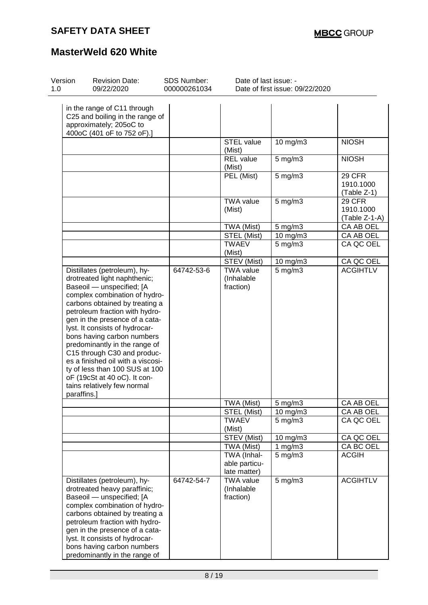| Version<br>1.0 | <b>Revision Date:</b><br>09/22/2020                                                                                                                                                                                                                                                                                                                                                                                                                                                                    | <b>SDS Number:</b><br>000000261034 | Date of last issue: -                                     | Date of first issue: 09/22/2020 |                                      |
|----------------|--------------------------------------------------------------------------------------------------------------------------------------------------------------------------------------------------------------------------------------------------------------------------------------------------------------------------------------------------------------------------------------------------------------------------------------------------------------------------------------------------------|------------------------------------|-----------------------------------------------------------|---------------------------------|--------------------------------------|
|                | in the range of C11 through<br>C25 and boiling in the range of<br>approximately; 205oC to<br>400oC (401 oF to 752 oF).]                                                                                                                                                                                                                                                                                                                                                                                |                                    |                                                           |                                 |                                      |
|                |                                                                                                                                                                                                                                                                                                                                                                                                                                                                                                        |                                    | <b>STEL value</b><br>(Mist)                               | 10 mg/m3                        | <b>NIOSH</b>                         |
|                |                                                                                                                                                                                                                                                                                                                                                                                                                                                                                                        |                                    | <b>REL</b> value<br>(Mist)                                | $5$ mg/m $3$                    | <b>NIOSH</b>                         |
|                |                                                                                                                                                                                                                                                                                                                                                                                                                                                                                                        |                                    | PEL (Mist)                                                | $5$ mg/m $3$                    | 29 CFR<br>1910.1000<br>(Table Z-1)   |
|                |                                                                                                                                                                                                                                                                                                                                                                                                                                                                                                        |                                    | <b>TWA value</b><br>(Mist)                                | $5$ mg/m $3$                    | 29 CFR<br>1910.1000<br>(Table Z-1-A) |
|                |                                                                                                                                                                                                                                                                                                                                                                                                                                                                                                        |                                    | TWA (Mist)                                                | $5$ mg/m $3$                    | CA AB OEL                            |
|                |                                                                                                                                                                                                                                                                                                                                                                                                                                                                                                        |                                    | STEL (Mist)                                               | 10 mg/m3                        | CA AB OEL                            |
|                |                                                                                                                                                                                                                                                                                                                                                                                                                                                                                                        |                                    | <b>TWAEV</b><br>(Mist)                                    | $5$ mg/m $3$                    | CA QC OEL                            |
|                |                                                                                                                                                                                                                                                                                                                                                                                                                                                                                                        |                                    | STEV (Mist)                                               | 10 mg/m3                        | CA QC OEL                            |
| paraffins.]    | Distillates (petroleum), hy-<br>drotreated light naphthenic;<br>Baseoil - unspecified; [A<br>complex combination of hydro-<br>carbons obtained by treating a<br>petroleum fraction with hydro-<br>gen in the presence of a cata-<br>lyst. It consists of hydrocar-<br>bons having carbon numbers<br>predominantly in the range of<br>C15 through C30 and produc-<br>es a finished oil with a viscosi-<br>ty of less than 100 SUS at 100<br>oF (19cSt at 40 oC). It con-<br>tains relatively few normal | 64742-53-6                         | <b>TWA value</b><br>(Inhalable<br>fraction)<br>TWA (Mist) | $5$ mg/m $3$<br>5 mg/m3         | <b>ACGIHTLV</b><br>CA AB OEL         |
|                |                                                                                                                                                                                                                                                                                                                                                                                                                                                                                                        |                                    | STEL (Mist)                                               | 10 mg/m3                        | CA AB OEL                            |
|                |                                                                                                                                                                                                                                                                                                                                                                                                                                                                                                        |                                    | <b>TWAEV</b><br>(Mist)                                    | $5$ mg/m $3$                    | CA QC OEL                            |
|                |                                                                                                                                                                                                                                                                                                                                                                                                                                                                                                        |                                    | STEV (Mist)                                               | 10 mg/m3                        | CA QC OEL                            |
|                |                                                                                                                                                                                                                                                                                                                                                                                                                                                                                                        |                                    | TWA (Mist)                                                | 1 $mg/m3$                       | CA BC OEL                            |
|                |                                                                                                                                                                                                                                                                                                                                                                                                                                                                                                        |                                    | TWA (Inhal-<br>able particu-<br>late matter)              | $5$ mg/m $3$                    | <b>ACGIH</b>                         |
|                | Distillates (petroleum), hy-<br>drotreated heavy paraffinic;<br>Baseoil - unspecified; [A<br>complex combination of hydro-<br>carbons obtained by treating a<br>petroleum fraction with hydro-<br>gen in the presence of a cata-<br>lyst. It consists of hydrocar-<br>bons having carbon numbers<br>predominantly in the range of                                                                                                                                                                      | 64742-54-7                         | <b>TWA value</b><br>(Inhalable<br>fraction)               | $5$ mg/m $3$                    | <b>ACGIHTLV</b>                      |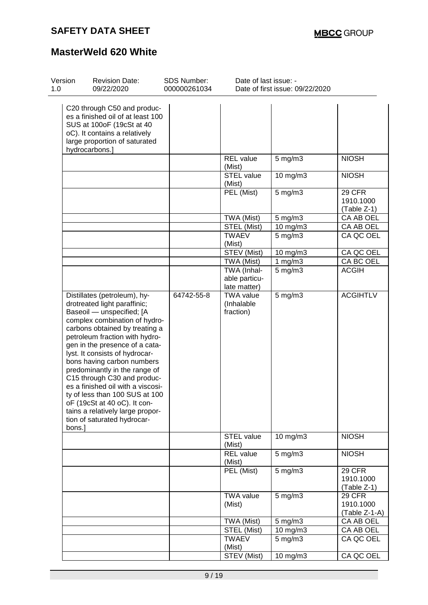| Version<br>1.0 | <b>Revision Date:</b><br>09/22/2020                                                                                                                                                                                                                                                                                                                                                                                                                                                                                                                  | <b>SDS Number:</b><br>000000261034 | Date of last issue: -                        | Date of first issue: 09/22/2020 |                                             |
|----------------|------------------------------------------------------------------------------------------------------------------------------------------------------------------------------------------------------------------------------------------------------------------------------------------------------------------------------------------------------------------------------------------------------------------------------------------------------------------------------------------------------------------------------------------------------|------------------------------------|----------------------------------------------|---------------------------------|---------------------------------------------|
|                | C20 through C50 and produc-<br>es a finished oil of at least 100<br>SUS at 100oF (19cSt at 40<br>oC). It contains a relatively<br>large proportion of saturated<br>hydrocarbons.]                                                                                                                                                                                                                                                                                                                                                                    |                                    |                                              |                                 |                                             |
|                |                                                                                                                                                                                                                                                                                                                                                                                                                                                                                                                                                      |                                    | <b>REL</b> value<br>(Mist)                   | $5$ mg/m $3$                    | <b>NIOSH</b>                                |
|                |                                                                                                                                                                                                                                                                                                                                                                                                                                                                                                                                                      |                                    | <b>STEL value</b><br>(Mist)                  | 10 mg/m3                        | <b>NIOSH</b>                                |
|                |                                                                                                                                                                                                                                                                                                                                                                                                                                                                                                                                                      |                                    | PEL (Mist)                                   | $5$ mg/m $3$                    | 29 CFR<br>1910.1000<br>(Table Z-1)          |
|                |                                                                                                                                                                                                                                                                                                                                                                                                                                                                                                                                                      |                                    | TWA (Mist)                                   | $5 \text{ mg/m}$ 3              | CA AB OEL                                   |
|                |                                                                                                                                                                                                                                                                                                                                                                                                                                                                                                                                                      |                                    | STEL (Mist)                                  | 10 mg/m3                        | CA AB OEL                                   |
|                |                                                                                                                                                                                                                                                                                                                                                                                                                                                                                                                                                      |                                    | <b>TWAEV</b><br>(Mist)                       | $5$ mg/m $3$                    | CA QC OEL                                   |
|                |                                                                                                                                                                                                                                                                                                                                                                                                                                                                                                                                                      |                                    | STEV (Mist)                                  | $10$ mg/m $3$                   | CA QC OEL                                   |
|                |                                                                                                                                                                                                                                                                                                                                                                                                                                                                                                                                                      |                                    | TWA (Mist)                                   | 1 $mg/m3$                       | CA BC OEL                                   |
|                |                                                                                                                                                                                                                                                                                                                                                                                                                                                                                                                                                      |                                    | TWA (Inhal-<br>able particu-<br>late matter) | $5$ mg/m $3$                    | <b>ACGIH</b>                                |
|                | Distillates (petroleum), hy-<br>drotreated light paraffinic;<br>Baseoil - unspecified; [A<br>complex combination of hydro-<br>carbons obtained by treating a<br>petroleum fraction with hydro-<br>gen in the presence of a cata-<br>lyst. It consists of hydrocar-<br>bons having carbon numbers<br>predominantly in the range of<br>C15 through C30 and produc-<br>es a finished oil with a viscosi-<br>ty of less than 100 SUS at 100<br>oF (19cSt at 40 oC). It con-<br>tains a relatively large propor-<br>tion of saturated hydrocar-<br>bons.] | 64742-55-8                         | <b>TWA value</b><br>(Inhalable<br>fraction)  | $5$ mg/m $3$                    | <b>ACGIHTLV</b>                             |
|                |                                                                                                                                                                                                                                                                                                                                                                                                                                                                                                                                                      |                                    | <b>STEL value</b><br>(Mist)                  | 10 mg/m3                        | <b>NIOSH</b>                                |
|                |                                                                                                                                                                                                                                                                                                                                                                                                                                                                                                                                                      |                                    | <b>REL</b> value<br>(Mist)                   | $5 \,\mathrm{mg/m}$             | <b>NIOSH</b>                                |
|                |                                                                                                                                                                                                                                                                                                                                                                                                                                                                                                                                                      |                                    | PEL (Mist)                                   | $5$ mg/m $3$                    | <b>29 CFR</b><br>1910.1000<br>(Table Z-1)   |
|                |                                                                                                                                                                                                                                                                                                                                                                                                                                                                                                                                                      |                                    | <b>TWA value</b><br>(Mist)                   | $5$ mg/m $3$                    | <b>29 CFR</b><br>1910.1000<br>(Table Z-1-A) |
|                |                                                                                                                                                                                                                                                                                                                                                                                                                                                                                                                                                      |                                    | TWA (Mist)                                   | 5 mg/m3                         | CA AB OEL                                   |
|                |                                                                                                                                                                                                                                                                                                                                                                                                                                                                                                                                                      |                                    | STEL (Mist)                                  | 10 mg/m3                        | CA AB OEL                                   |
|                |                                                                                                                                                                                                                                                                                                                                                                                                                                                                                                                                                      |                                    | <b>TWAEV</b><br>(Mist)                       | $5 \text{ mg/m}$ 3              | CA QC OEL                                   |
|                |                                                                                                                                                                                                                                                                                                                                                                                                                                                                                                                                                      |                                    | <b>STEV (Mist)</b>                           | 10 mg/m3                        | CA QC OEL                                   |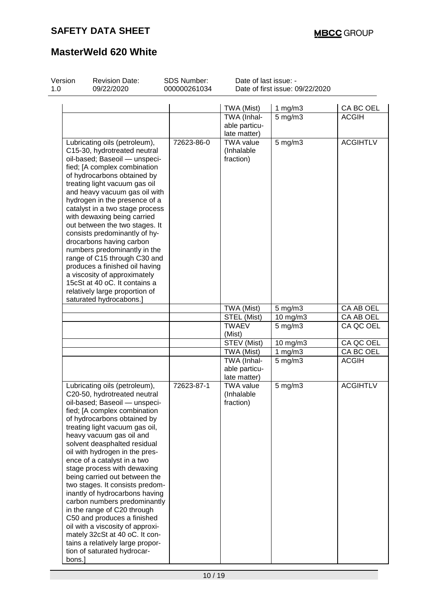| Version<br>1.0 | <b>Revision Date:</b><br>09/22/2020                                                                                                                                                                                                                                                                                                                                                                                                                                                                                                                                                                                                                                                                      | <b>SDS Number:</b><br>000000261034 | Date of last issue: -                        | Date of first issue: 09/22/2020 |                 |
|----------------|----------------------------------------------------------------------------------------------------------------------------------------------------------------------------------------------------------------------------------------------------------------------------------------------------------------------------------------------------------------------------------------------------------------------------------------------------------------------------------------------------------------------------------------------------------------------------------------------------------------------------------------------------------------------------------------------------------|------------------------------------|----------------------------------------------|---------------------------------|-----------------|
|                |                                                                                                                                                                                                                                                                                                                                                                                                                                                                                                                                                                                                                                                                                                          |                                    | TWA (Mist)                                   | 1 $mg/m3$                       | CA BC OEL       |
|                |                                                                                                                                                                                                                                                                                                                                                                                                                                                                                                                                                                                                                                                                                                          |                                    | TWA (Inhal-<br>able particu-<br>late matter) | $5$ mg/m $3$                    | <b>ACGIH</b>    |
|                | Lubricating oils (petroleum),<br>C15-30, hydrotreated neutral<br>oil-based; Baseoil - unspeci-<br>fied; [A complex combination<br>of hydrocarbons obtained by<br>treating light vacuum gas oil<br>and heavy vacuum gas oil with<br>hydrogen in the presence of a<br>catalyst in a two stage process<br>with dewaxing being carried<br>out between the two stages. It<br>consists predominantly of hy-<br>drocarbons having carbon<br>numbers predominantly in the<br>range of C15 through C30 and<br>produces a finished oil having<br>a viscosity of approximately<br>15cSt at 40 oC. It contains a<br>relatively large proportion of<br>saturated hydrocabons.]                                        | 72623-86-0                         | <b>TWA value</b><br>(Inhalable<br>fraction)  | 5 mg/m3                         | <b>ACGIHTLV</b> |
|                |                                                                                                                                                                                                                                                                                                                                                                                                                                                                                                                                                                                                                                                                                                          |                                    | TWA (Mist)                                   | $5 \text{ mg/m}$ 3              | CA AB OEL       |
|                |                                                                                                                                                                                                                                                                                                                                                                                                                                                                                                                                                                                                                                                                                                          |                                    | STEL (Mist)                                  | 10 mg/m3                        | CA AB OEL       |
|                |                                                                                                                                                                                                                                                                                                                                                                                                                                                                                                                                                                                                                                                                                                          |                                    | <b>TWAEV</b><br>(Mist)                       | $5$ mg/m $3$                    | CA QC OEL       |
|                |                                                                                                                                                                                                                                                                                                                                                                                                                                                                                                                                                                                                                                                                                                          |                                    | STEV (Mist)                                  | 10 mg/m3                        | CA QC OEL       |
|                |                                                                                                                                                                                                                                                                                                                                                                                                                                                                                                                                                                                                                                                                                                          |                                    | TWA (Mist)                                   | 1 $mg/m3$                       | CA BC OEL       |
|                |                                                                                                                                                                                                                                                                                                                                                                                                                                                                                                                                                                                                                                                                                                          |                                    | TWA (Inhal-<br>able particu-<br>late matter) | $5$ mg/m $3$                    | <b>ACGIH</b>    |
| bons.]         | Lubricating oils (petroleum),<br>C20-50, hydrotreated neutral<br>oil-based; Baseoil — unspeci-<br>fied; [A complex combination<br>of hydrocarbons obtained by<br>treating light vacuum gas oil,<br>heavy vacuum gas oil and<br>solvent deasphalted residual<br>oil with hydrogen in the pres-<br>ence of a catalyst in a two<br>stage process with dewaxing<br>being carried out between the<br>two stages. It consists predom-<br>inantly of hydrocarbons having<br>carbon numbers predominantly<br>in the range of C20 through<br>C50 and produces a finished<br>oil with a viscosity of approxi-<br>mately 32cSt at 40 oC. It con-<br>tains a relatively large propor-<br>tion of saturated hydrocar- | 72623-87-1                         | <b>TWA value</b><br>(Inhalable<br>fraction)  | $5$ mg/m $3$                    | <b>ACGIHTLV</b> |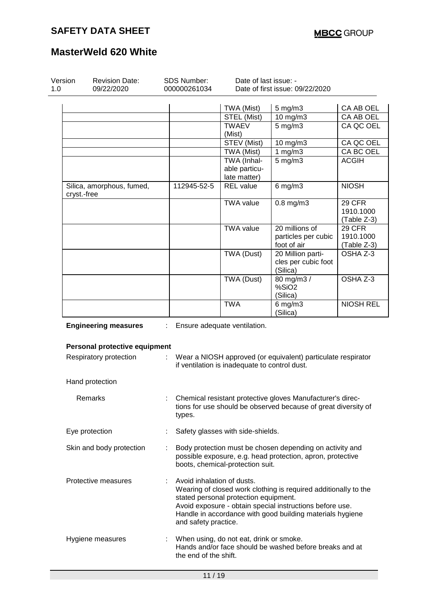| Version<br>1.0 | <b>Revision Date:</b><br><b>SDS Number:</b><br>Date of last issue: -<br>000000261034<br>09/22/2020 |    |                                                                                                                                                                                                                                                                                         | Date of first issue: 09/22/2020               |                                                                                                                              |                                    |
|----------------|----------------------------------------------------------------------------------------------------|----|-----------------------------------------------------------------------------------------------------------------------------------------------------------------------------------------------------------------------------------------------------------------------------------------|-----------------------------------------------|------------------------------------------------------------------------------------------------------------------------------|------------------------------------|
|                |                                                                                                    |    |                                                                                                                                                                                                                                                                                         | TWA (Mist)                                    | 5 mg/m3                                                                                                                      | CA AB OEL                          |
|                |                                                                                                    |    |                                                                                                                                                                                                                                                                                         | STEL (Mist)                                   | 10 mg/m3                                                                                                                     | CA AB OEL                          |
|                |                                                                                                    |    |                                                                                                                                                                                                                                                                                         | <b>TWAEV</b><br>(Mist)                        | $5$ mg/m $3$                                                                                                                 | CA QC OEL                          |
|                |                                                                                                    |    |                                                                                                                                                                                                                                                                                         | STEV (Mist)                                   | 10 mg/m3                                                                                                                     | CA QC OEL                          |
|                |                                                                                                    |    |                                                                                                                                                                                                                                                                                         | TWA (Mist)                                    | 1 $mg/m3$                                                                                                                    | CA BC OEL                          |
|                |                                                                                                    |    |                                                                                                                                                                                                                                                                                         | TWA (Inhal-<br>able particu-<br>late matter)  | $5$ mg/m $3$                                                                                                                 | <b>ACGIH</b>                       |
| cryst.-free    | Silica, amorphous, fumed,                                                                          |    | 112945-52-5                                                                                                                                                                                                                                                                             | <b>REL</b> value                              | $6$ mg/m $3$                                                                                                                 | <b>NIOSH</b>                       |
|                |                                                                                                    |    |                                                                                                                                                                                                                                                                                         | <b>TWA value</b>                              | $0.8$ mg/m $3$                                                                                                               | 29 CFR<br>1910.1000<br>(Table Z-3) |
|                |                                                                                                    |    |                                                                                                                                                                                                                                                                                         | <b>TWA value</b>                              | 20 millions of                                                                                                               | <b>29 CFR</b>                      |
|                |                                                                                                    |    |                                                                                                                                                                                                                                                                                         |                                               | particles per cubic                                                                                                          | 1910.1000                          |
|                |                                                                                                    |    |                                                                                                                                                                                                                                                                                         |                                               | foot of air                                                                                                                  | (Table Z-3)                        |
|                |                                                                                                    |    |                                                                                                                                                                                                                                                                                         | TWA (Dust)                                    | 20 Million parti-<br>cles per cubic foot<br>(Silica)                                                                         | OSHA Z-3                           |
|                |                                                                                                    |    |                                                                                                                                                                                                                                                                                         | TWA (Dust)                                    | 80 mg/m3 /<br>%SiO2<br>(Silica)                                                                                              | OSHA Z-3                           |
|                |                                                                                                    |    |                                                                                                                                                                                                                                                                                         | <b>TWA</b>                                    | $6$ mg/m $3$<br>(Silica)                                                                                                     | <b>NIOSH REL</b>                   |
|                | <b>Engineering measures</b>                                                                        | ÷  |                                                                                                                                                                                                                                                                                         | Ensure adequate ventilation.                  |                                                                                                                              |                                    |
|                | Personal protective equipment                                                                      |    |                                                                                                                                                                                                                                                                                         |                                               |                                                                                                                              |                                    |
|                | Respiratory protection                                                                             | ÷. |                                                                                                                                                                                                                                                                                         | if ventilation is inadequate to control dust. | Wear a NIOSH approved (or equivalent) particulate respirator                                                                 |                                    |
|                | Hand protection                                                                                    |    |                                                                                                                                                                                                                                                                                         |                                               |                                                                                                                              |                                    |
|                | Remarks                                                                                            |    | types.                                                                                                                                                                                                                                                                                  |                                               | Chemical resistant protective gloves Manufacturer's direc-<br>tions for use should be observed because of great diversity of |                                    |
|                | Eye protection                                                                                     |    |                                                                                                                                                                                                                                                                                         | Safety glasses with side-shields.             |                                                                                                                              |                                    |
|                | Skin and body protection                                                                           |    |                                                                                                                                                                                                                                                                                         | boots, chemical-protection suit.              | Body protection must be chosen depending on activity and<br>possible exposure, e.g. head protection, apron, protective       |                                    |
|                | Protective measures                                                                                |    | Avoid inhalation of dusts.<br>Wearing of closed work clothing is required additionally to the<br>stated personal protection equipment.<br>Avoid exposure - obtain special instructions before use.<br>Handle in accordance with good building materials hygiene<br>and safety practice. |                                               |                                                                                                                              |                                    |
|                | Hygiene measures                                                                                   |    | the end of the shift.                                                                                                                                                                                                                                                                   | When using, do not eat, drink or smoke.       | Hands and/or face should be washed before breaks and at                                                                      |                                    |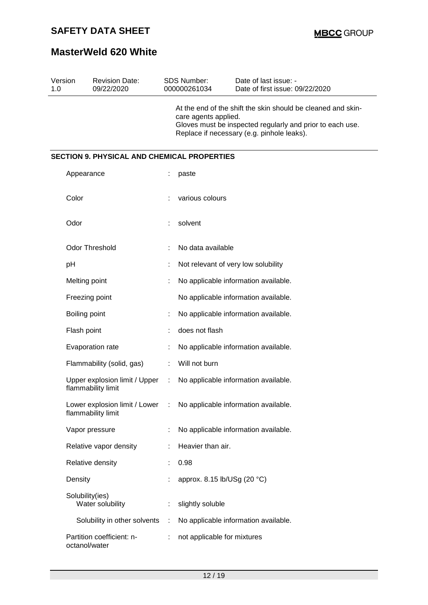| Version<br>1.0 |                 | <b>Revision Date:</b><br>09/22/2020                 |   | <b>SDS Number:</b><br>000000261034  | Date of last issue: -<br>Date of first issue: 09/22/2020                                                                                                                |  |  |
|----------------|-----------------|-----------------------------------------------------|---|-------------------------------------|-------------------------------------------------------------------------------------------------------------------------------------------------------------------------|--|--|
|                |                 |                                                     |   | care agents applied.                | At the end of the shift the skin should be cleaned and skin-<br>Gloves must be inspected regularly and prior to each use.<br>Replace if necessary (e.g. pinhole leaks). |  |  |
|                |                 | <b>SECTION 9. PHYSICAL AND CHEMICAL PROPERTIES</b>  |   |                                     |                                                                                                                                                                         |  |  |
|                | Appearance      |                                                     |   | paste                               |                                                                                                                                                                         |  |  |
|                | Color           |                                                     |   | various colours                     |                                                                                                                                                                         |  |  |
|                | Odor            |                                                     |   | solvent                             |                                                                                                                                                                         |  |  |
|                |                 | <b>Odor Threshold</b>                               |   | No data available                   |                                                                                                                                                                         |  |  |
|                | pH              |                                                     |   | Not relevant of very low solubility |                                                                                                                                                                         |  |  |
|                | Melting point   |                                                     |   |                                     | No applicable information available.                                                                                                                                    |  |  |
|                |                 | Freezing point                                      |   |                                     | No applicable information available.                                                                                                                                    |  |  |
|                | Boiling point   |                                                     |   |                                     | No applicable information available.                                                                                                                                    |  |  |
|                | Flash point     |                                                     |   | does not flash                      |                                                                                                                                                                         |  |  |
|                |                 | Evaporation rate                                    |   |                                     | No applicable information available.                                                                                                                                    |  |  |
|                |                 | Flammability (solid, gas)                           |   | Will not burn                       |                                                                                                                                                                         |  |  |
|                |                 | Upper explosion limit / Upper<br>flammability limit | ÷ |                                     | No applicable information available.                                                                                                                                    |  |  |
|                |                 | Lower explosion limit / Lower<br>flammability limit | ÷ |                                     | No applicable information available.                                                                                                                                    |  |  |
|                |                 | Vapor pressure                                      |   |                                     | No applicable information available.                                                                                                                                    |  |  |
|                |                 | Relative vapor density                              |   | Heavier than air.                   |                                                                                                                                                                         |  |  |
|                |                 | Relative density                                    |   | 0.98                                |                                                                                                                                                                         |  |  |
|                | Density         |                                                     |   | approx. 8.15 lb/USg (20 °C)         |                                                                                                                                                                         |  |  |
|                | Solubility(ies) | Water solubility                                    |   | slightly soluble                    |                                                                                                                                                                         |  |  |
|                |                 | Solubility in other solvents                        | ÷ |                                     | No applicable information available.                                                                                                                                    |  |  |
|                | octanol/water   | Partition coefficient: n-                           |   | not applicable for mixtures         |                                                                                                                                                                         |  |  |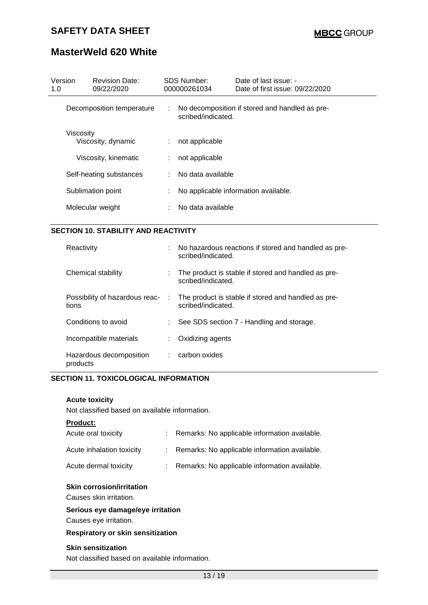# **MasterWeld 620 White**

| Version<br>1.0 | <b>Revision Date:</b><br>09/22/2020         |    | <b>SDS Number:</b><br>000000261034 | Date of last issue: -<br>Date of first issue: 09/22/2020 |
|----------------|---------------------------------------------|----|------------------------------------|----------------------------------------------------------|
|                | Decomposition temperature                   |    | scribed/indicated.                 | No decomposition if stored and handled as pre-           |
|                | Viscosity<br>Viscosity, dynamic             |    | $:$ not applicable                 |                                                          |
|                | Viscosity, kinematic                        | t. | not applicable                     |                                                          |
|                | Self-heating substances                     |    | : No data available                |                                                          |
|                | Sublimation point                           |    |                                    | No applicable information available.                     |
|                | Molecular weight                            |    | : No data available                |                                                          |
|                | <b>SECTION 10. STABILITY AND REACTIVITY</b> |    |                                    |                                                          |
|                |                                             |    |                                    |                                                          |

| Reactivity                              |            | : No hazardous reactions if stored and handled as pre-<br>scribed/indicated. |
|-----------------------------------------|------------|------------------------------------------------------------------------------|
| Chemical stability                      |            | The product is stable if stored and handled as pre-<br>scribed/indicated.    |
| Possibility of hazardous reac-<br>tions | $\sim 100$ | The product is stable if stored and handled as pre-<br>scribed/indicated.    |
| Conditions to avoid                     |            | See SDS section 7 - Handling and storage.                                    |
| Incompatible materials                  |            | Oxidizing agents                                                             |
| Hazardous decomposition<br>products     |            | $:$ carbon oxides                                                            |

#### **SECTION 11. TOXICOLOGICAL INFORMATION**

#### **Acute toxicity**

Not classified based on available information.

#### **Product:**

| Acute oral toxicity       | : Remarks: No applicable information available. |
|---------------------------|-------------------------------------------------|
| Acute inhalation toxicity | : Remarks: No applicable information available. |
| Acute dermal toxicity     | : Remarks: No applicable information available. |

#### **Skin corrosion/irritation**

Causes skin irritation.

#### **Serious eye damage/eye irritation**

Causes eye irritation.

#### **Respiratory or skin sensitization**

#### **Skin sensitization**

Not classified based on available information.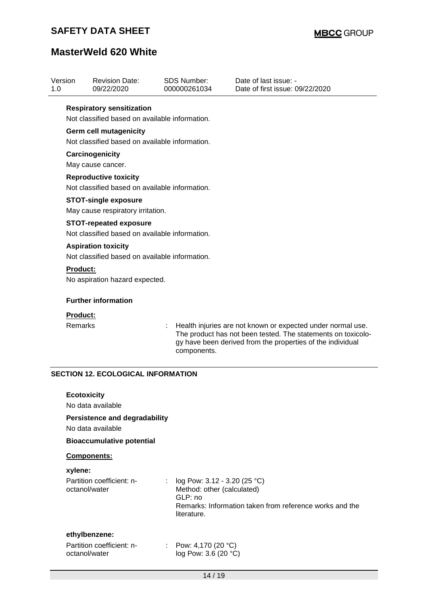| 1.0             | <b>Revision Date:</b><br>09/22/2020                                            |                                                                                                                             | <b>SDS Number:</b><br>000000261034                     | Date of last issue: -<br>Date of first issue: 09/22/2020                                |
|-----------------|--------------------------------------------------------------------------------|-----------------------------------------------------------------------------------------------------------------------------|--------------------------------------------------------|-----------------------------------------------------------------------------------------|
|                 | <b>Respiratory sensitization</b>                                               |                                                                                                                             |                                                        |                                                                                         |
|                 | Not classified based on available information.                                 |                                                                                                                             |                                                        |                                                                                         |
|                 | <b>Germ cell mutagenicity</b>                                                  |                                                                                                                             |                                                        |                                                                                         |
|                 | Not classified based on available information.                                 |                                                                                                                             |                                                        |                                                                                         |
|                 | Carcinogenicity                                                                |                                                                                                                             |                                                        |                                                                                         |
|                 | May cause cancer.                                                              |                                                                                                                             |                                                        |                                                                                         |
|                 | <b>Reproductive toxicity</b><br>Not classified based on available information. |                                                                                                                             |                                                        |                                                                                         |
|                 | <b>STOT-single exposure</b>                                                    |                                                                                                                             |                                                        |                                                                                         |
|                 | May cause respiratory irritation.                                              |                                                                                                                             |                                                        |                                                                                         |
|                 | <b>STOT-repeated exposure</b>                                                  |                                                                                                                             |                                                        |                                                                                         |
|                 | Not classified based on available information.                                 |                                                                                                                             |                                                        |                                                                                         |
|                 | <b>Aspiration toxicity</b>                                                     |                                                                                                                             |                                                        |                                                                                         |
|                 | Not classified based on available information.                                 |                                                                                                                             |                                                        |                                                                                         |
| <b>Product:</b> |                                                                                |                                                                                                                             |                                                        |                                                                                         |
|                 | No aspiration hazard expected.                                                 |                                                                                                                             |                                                        |                                                                                         |
|                 | <b>Further information</b>                                                     |                                                                                                                             |                                                        |                                                                                         |
| Product:        |                                                                                |                                                                                                                             |                                                        |                                                                                         |
| Remarks         |                                                                                | Health injuries are not known or expected under normal use.<br>The product has not been tested. The statements on toxicolo- |                                                        |                                                                                         |
|                 |                                                                                |                                                                                                                             | components.                                            | gy have been derived from the properties of the individual                              |
|                 | <b>SECTION 12. ECOLOGICAL INFORMATION</b>                                      |                                                                                                                             |                                                        |                                                                                         |
|                 | <b>Ecotoxicity</b>                                                             |                                                                                                                             |                                                        |                                                                                         |
|                 | No data available                                                              |                                                                                                                             |                                                        |                                                                                         |
|                 | <b>Persistence and degradability</b><br>No data available                      |                                                                                                                             |                                                        |                                                                                         |
|                 | <b>Bioaccumulative potential</b>                                               |                                                                                                                             |                                                        |                                                                                         |
|                 | Components:                                                                    |                                                                                                                             |                                                        |                                                                                         |
| xylene:         |                                                                                |                                                                                                                             |                                                        |                                                                                         |
|                 | Partition coefficient: n-<br>octanol/water                                     | ÷                                                                                                                           | Method: other (calculated)<br>GLP: no<br>literature.   | log Pow: 3.12 - 3.20 (25 °C)<br>Remarks: Information taken from reference works and the |
|                 |                                                                                |                                                                                                                             |                                                        |                                                                                         |
|                 | ethylbenzene:<br>Partition coefficient: n-<br>octanol/water                    |                                                                                                                             | : Pow: 4,170 (20 $^{\circ}$ C)<br>log Pow: 3.6 (20 °C) |                                                                                         |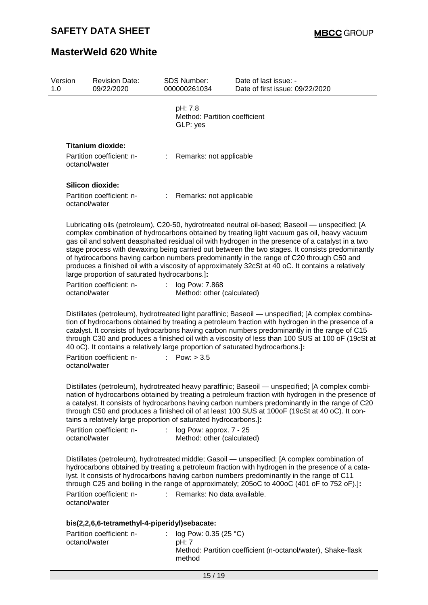| Version<br>1.0 | <b>Revision Date:</b><br>09/22/2020                                                         |    | <b>SDS Number:</b><br>000000261034                        | Date of last issue: -<br>Date of first issue: 09/22/2020                                                                                                                                                                                                                                                                                                                                                                                                                                                                                                                                                |
|----------------|---------------------------------------------------------------------------------------------|----|-----------------------------------------------------------|---------------------------------------------------------------------------------------------------------------------------------------------------------------------------------------------------------------------------------------------------------------------------------------------------------------------------------------------------------------------------------------------------------------------------------------------------------------------------------------------------------------------------------------------------------------------------------------------------------|
|                |                                                                                             |    | pH: 7.8<br>Method: Partition coefficient<br>GLP: yes      |                                                                                                                                                                                                                                                                                                                                                                                                                                                                                                                                                                                                         |
|                | <b>Titanium dioxide:</b>                                                                    |    |                                                           |                                                                                                                                                                                                                                                                                                                                                                                                                                                                                                                                                                                                         |
|                | Partition coefficient: n-<br>octanol/water                                                  |    | : Remarks: not applicable                                 |                                                                                                                                                                                                                                                                                                                                                                                                                                                                                                                                                                                                         |
|                | Silicon dioxide:                                                                            |    |                                                           |                                                                                                                                                                                                                                                                                                                                                                                                                                                                                                                                                                                                         |
|                | Partition coefficient: n-<br>octanol/water                                                  | ÷. | Remarks: not applicable                                   |                                                                                                                                                                                                                                                                                                                                                                                                                                                                                                                                                                                                         |
|                | large proportion of saturated hydrocarbons.]:<br>Partition coefficient: n-<br>octanol/water | ÷  | log Pow: 7.868                                            | Lubricating oils (petroleum), C20-50, hydrotreated neutral oil-based; Baseoil — unspecified; [A<br>complex combination of hydrocarbons obtained by treating light vacuum gas oil, heavy vacuum<br>gas oil and solvent deasphalted residual oil with hydrogen in the presence of a catalyst in a two<br>stage process with dewaxing being carried out between the two stages. It consists predominantly<br>of hydrocarbons having carbon numbers predominantly in the range of C20 through C50 and<br>produces a finished oil with a viscosity of approximately 32cSt at 40 oC. It contains a relatively |
|                |                                                                                             |    | Method: other (calculated)                                |                                                                                                                                                                                                                                                                                                                                                                                                                                                                                                                                                                                                         |
|                |                                                                                             |    |                                                           | Distillates (petroleum), hydrotreated light paraffinic; Baseoil — unspecified; [A complex combina-<br>tion of hydrocarbons obtained by treating a petroleum fraction with hydrogen in the presence of a<br>catalyst. It consists of hydrocarbons having carbon numbers predominantly in the range of C15<br>through C30 and produces a finished oil with a viscosity of less than 100 SUS at 100 oF (19cSt at<br>40 oC). It contains a relatively large proportion of saturated hydrocarbons.]:                                                                                                         |
|                | Partition coefficient: n-<br>octanol/water                                                  |    | : $Pow: > 3.5$                                            |                                                                                                                                                                                                                                                                                                                                                                                                                                                                                                                                                                                                         |
|                | tains a relatively large proportion of saturated hydrocarbons.]:                            |    |                                                           | Distillates (petroleum), hydrotreated heavy paraffinic; Baseoil — unspecified; [A complex combi-<br>nation of hydrocarbons obtained by treating a petroleum fraction with hydrogen in the presence of<br>a catalyst. It consists of hydrocarbons having carbon numbers predominantly in the range of C20<br>through C50 and produces a finished oil of at least 100 SUS at 100oF (19cSt at 40 oC). It con-                                                                                                                                                                                              |
|                | Partition coefficient: n-<br>octanol/water                                                  |    | : $log Pow: approx. 7 - 25$<br>Method: other (calculated) |                                                                                                                                                                                                                                                                                                                                                                                                                                                                                                                                                                                                         |
|                |                                                                                             |    |                                                           | Distillates (petroleum), hydrotreated middle; Gasoil — unspecified; [A complex combination of<br>hydrocarbons obtained by treating a petroleum fraction with hydrogen in the presence of a cata-<br>lyst. It consists of hydrocarbons having carbon numbers predominantly in the range of C11<br>through C25 and boiling in the range of approximately; 205oC to 400oC (401 oF to 752 oF).]:                                                                                                                                                                                                            |
|                | Partition coefficient: n-<br>octanol/water                                                  | t. | Remarks: No data available.                               |                                                                                                                                                                                                                                                                                                                                                                                                                                                                                                                                                                                                         |
|                | bis(2,2,6,6-tetramethyl-4-piperidyl)sebacate:                                               |    |                                                           |                                                                                                                                                                                                                                                                                                                                                                                                                                                                                                                                                                                                         |
|                | Partition coefficient: n-                                                                   | t. | log Pow: 0.35 (25 °C)                                     |                                                                                                                                                                                                                                                                                                                                                                                                                                                                                                                                                                                                         |
|                | octanol/water                                                                               |    | pH: 7<br>method                                           | Method: Partition coefficient (n-octanol/water), Shake-flask                                                                                                                                                                                                                                                                                                                                                                                                                                                                                                                                            |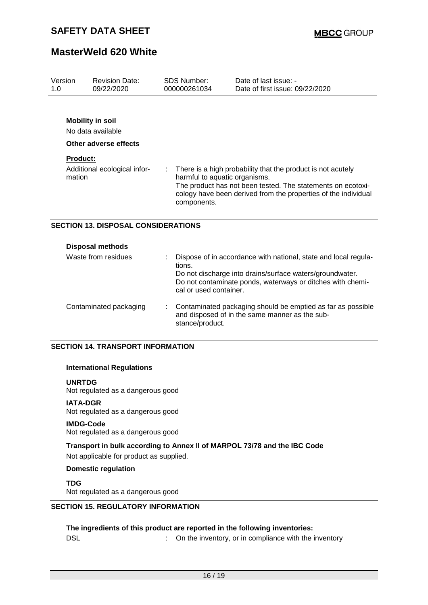| Version         | <b>Revision Date:</b>                      |  | <b>SDS Number:</b>                                                                                                                                                                                                                           | Date of last issue: -                                                                                                                                                                     |  |  |
|-----------------|--------------------------------------------|--|----------------------------------------------------------------------------------------------------------------------------------------------------------------------------------------------------------------------------------------------|-------------------------------------------------------------------------------------------------------------------------------------------------------------------------------------------|--|--|
| 1.0             | 09/22/2020                                 |  | 000000261034                                                                                                                                                                                                                                 | Date of first issue: 09/22/2020                                                                                                                                                           |  |  |
|                 |                                            |  |                                                                                                                                                                                                                                              |                                                                                                                                                                                           |  |  |
|                 | <b>Mobility in soil</b>                    |  |                                                                                                                                                                                                                                              |                                                                                                                                                                                           |  |  |
|                 | No data available                          |  |                                                                                                                                                                                                                                              |                                                                                                                                                                                           |  |  |
|                 | Other adverse effects                      |  |                                                                                                                                                                                                                                              |                                                                                                                                                                                           |  |  |
| <b>Product:</b> |                                            |  |                                                                                                                                                                                                                                              |                                                                                                                                                                                           |  |  |
| mation          | Additional ecological infor-               |  | There is a high probability that the product is not acutely<br>harmful to aquatic organisms.<br>The product has not been tested. The statements on ecotoxi-<br>cology have been derived from the properties of the individual<br>components. |                                                                                                                                                                                           |  |  |
|                 | <b>SECTION 13. DISPOSAL CONSIDERATIONS</b> |  |                                                                                                                                                                                                                                              |                                                                                                                                                                                           |  |  |
|                 | <b>Disposal methods</b>                    |  |                                                                                                                                                                                                                                              |                                                                                                                                                                                           |  |  |
|                 | Waste from residues                        |  | tions.                                                                                                                                                                                                                                       | Dispose of in accordance with national, state and local regula-<br>Do not discharge into drains/surface waters/groundwater.<br>Do not contaminate ponds, waterways or ditches with chemi- |  |  |

| Contaminated packaging |  | : Contaminated packaging should be emptied as far as possible<br>and disposed of in the same manner as the sub-<br>stance/product. |
|------------------------|--|------------------------------------------------------------------------------------------------------------------------------------|
|------------------------|--|------------------------------------------------------------------------------------------------------------------------------------|

cal or used container.

#### **SECTION 14. TRANSPORT INFORMATION**

#### **International Regulations**

**UNRTDG**

Not regulated as a dangerous good

#### **IATA-DGR**

Not regulated as a dangerous good

#### **IMDG-Code**

Not regulated as a dangerous good

### **Transport in bulk according to Annex II of MARPOL 73/78 and the IBC Code** Not applicable for product as supplied.

#### **Domestic regulation**

**TDG**

Not regulated as a dangerous good

#### **SECTION 15. REGULATORY INFORMATION**

#### **The ingredients of this product are reported in the following inventories:**

DSL **DISL DISL COMPONE 1 COMPONE 1 COMPONE 1 COMPONE 1 COMPONE 1 COMPONE 1 COMPONE 1 COMPONE 1 COMPONE 1 COMPONE 1 COMPONE 1 COMPONE 1 COMPONE 1 COMPONE 1 COMPONE 1 COMPONE 1 COMPONE 1**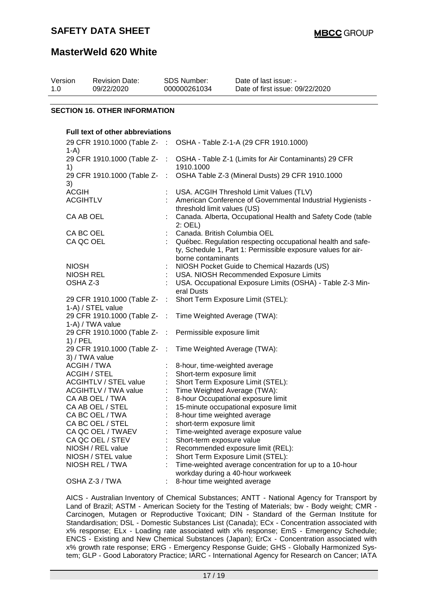### **MasterWeld 620 White**

| Version<br>1.0 | <b>Revision Date:</b><br>09/22/2020                                            |                | SDS Number:<br>000000261034                                                                             | Date of last issue: -<br>Date of first issue: 09/22/2020                                                                                           |  |  |  |  |  |  |
|----------------|--------------------------------------------------------------------------------|----------------|---------------------------------------------------------------------------------------------------------|----------------------------------------------------------------------------------------------------------------------------------------------------|--|--|--|--|--|--|
|                |                                                                                |                |                                                                                                         |                                                                                                                                                    |  |  |  |  |  |  |
|                | <b>SECTION 16. OTHER INFORMATION</b>                                           |                |                                                                                                         |                                                                                                                                                    |  |  |  |  |  |  |
|                | <b>Full text of other abbreviations</b>                                        |                |                                                                                                         |                                                                                                                                                    |  |  |  |  |  |  |
|                | 29 CFR 1910.1000 (Table Z- :<br>$1-A)$                                         |                |                                                                                                         | OSHA - Table Z-1-A (29 CFR 1910.1000)                                                                                                              |  |  |  |  |  |  |
| 1)             | 29 CFR 1910.1000 (Table Z-                                                     | - 11           | 1910.1000                                                                                               | OSHA - Table Z-1 (Limits for Air Contaminants) 29 CFR                                                                                              |  |  |  |  |  |  |
| 3)             | 29 CFR 1910.1000 (Table Z- :                                                   |                |                                                                                                         | OSHA Table Z-3 (Mineral Dusts) 29 CFR 1910.1000                                                                                                    |  |  |  |  |  |  |
|                | <b>ACGIH</b><br><b>ACGIHTLV</b>                                                |                | threshold limit values (US)                                                                             | USA. ACGIH Threshold Limit Values (TLV)<br>American Conference of Governmental Industrial Hygienists -                                             |  |  |  |  |  |  |
|                | CA AB OEL                                                                      |                | $2:$ OEL)                                                                                               | Canada. Alberta, Occupational Health and Safety Code (table                                                                                        |  |  |  |  |  |  |
|                | CA BC OEL<br>CA QC OEL                                                         |                | Canada. British Columbia OEL<br>borne contaminants                                                      | Québec. Regulation respecting occupational health and safe-<br>ty, Schedule 1, Part 1: Permissible exposure values for air-                        |  |  |  |  |  |  |
|                | <b>NIOSH</b><br><b>NIOSH REL</b><br>OSHA Z-3                                   |                | eral Dusts                                                                                              | NIOSH Pocket Guide to Chemical Hazards (US)<br>USA. NIOSH Recommended Exposure Limits<br>USA. Occupational Exposure Limits (OSHA) - Table Z-3 Min- |  |  |  |  |  |  |
|                | 29 CFR 1910.1000 (Table Z- :<br>1-A) / STEL value                              |                | Short Term Exposure Limit (STEL):                                                                       |                                                                                                                                                    |  |  |  |  |  |  |
|                | 29 CFR 1910.1000 (Table Z-<br>1-A) / TWA value                                 | $\pm$          | Time Weighted Average (TWA):                                                                            |                                                                                                                                                    |  |  |  |  |  |  |
|                | 29 CFR 1910.1000 (Table Z-<br>$1)$ / PEL                                       | $\mathbb{R}^2$ | Permissible exposure limit                                                                              |                                                                                                                                                    |  |  |  |  |  |  |
|                | 29 CFR 1910.1000 (Table Z-<br>3) / TWA value                                   | ÷              | Time Weighted Average (TWA):                                                                            |                                                                                                                                                    |  |  |  |  |  |  |
|                | ACGIH / TWA<br><b>ACGIH / STEL</b>                                             |                | 8-hour, time-weighted average<br>Short-term exposure limit                                              |                                                                                                                                                    |  |  |  |  |  |  |
|                | <b>ACGIHTLV / STEL value</b><br><b>ACGIHTLV / TWA value</b><br>CA AB OEL / TWA |                | Short Term Exposure Limit (STEL):<br>Time Weighted Average (TWA):<br>8-hour Occupational exposure limit |                                                                                                                                                    |  |  |  |  |  |  |
|                | CA AB OEL / STEL<br>CA BC OEL / TWA                                            |                | 8-hour time weighted average                                                                            | 15-minute occupational exposure limit                                                                                                              |  |  |  |  |  |  |
|                | CA BC OEL / STEL<br>CA QC OEL / TWAEV<br>CA QC OEL / STEV                      |                | short-term exposure limit<br>Short-term exposure value                                                  | Time-weighted average exposure value                                                                                                               |  |  |  |  |  |  |
|                | NIOSH / REL value                                                              |                |                                                                                                         | Recommended exposure limit (REL):                                                                                                                  |  |  |  |  |  |  |
|                | NIOSH / STEL value<br>NIOSH REL / TWA                                          |                | Short Term Exposure Limit (STEL):                                                                       | Time-weighted average concentration for up to a 10-hour<br>workday during a 40-hour workweek                                                       |  |  |  |  |  |  |
|                | OSHA Z-3 / TWA                                                                 |                | 8-hour time weighted average                                                                            |                                                                                                                                                    |  |  |  |  |  |  |

AICS - Australian Inventory of Chemical Substances; ANTT - National Agency for Transport by Land of Brazil; ASTM - American Society for the Testing of Materials; bw - Body weight; CMR - Carcinogen, Mutagen or Reproductive Toxicant; DIN - Standard of the German Institute for Standardisation; DSL - Domestic Substances List (Canada); ECx - Concentration associated with x% response; ELx - Loading rate associated with x% response; EmS - Emergency Schedule; ENCS - Existing and New Chemical Substances (Japan); ErCx - Concentration associated with x% growth rate response; ERG - Emergency Response Guide; GHS - Globally Harmonized System; GLP - Good Laboratory Practice; IARC - International Agency for Research on Cancer; IATA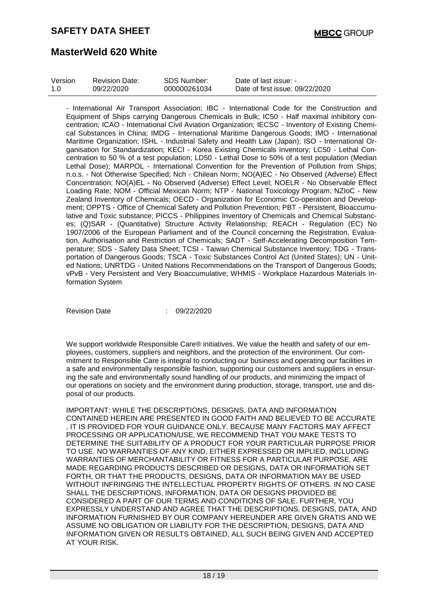| Version | <b>Revision Date:</b> | SDS Number:  | Date of last issue: -           |
|---------|-----------------------|--------------|---------------------------------|
| -1.0    | 09/22/2020            | 000000261034 | Date of first issue: 09/22/2020 |

- International Air Transport Association; IBC - International Code for the Construction and Equipment of Ships carrying Dangerous Chemicals in Bulk; IC50 - Half maximal inhibitory concentration; ICAO - International Civil Aviation Organization; IECSC - Inventory of Existing Chemical Substances in China; IMDG - International Maritime Dangerous Goods; IMO - International Maritime Organization; ISHL - Industrial Safety and Health Law (Japan); ISO - International Organisation for Standardization; KECI - Korea Existing Chemicals Inventory; LC50 - Lethal Concentration to 50 % of a test population; LD50 - Lethal Dose to 50% of a test population (Median Lethal Dose); MARPOL - International Convention for the Prevention of Pollution from Ships; n.o.s. - Not Otherwise Specified; Nch - Chilean Norm; NO(A)EC - No Observed (Adverse) Effect Concentration; NO(A)EL - No Observed (Adverse) Effect Level; NOELR - No Observable Effect Loading Rate; NOM - Official Mexican Norm; NTP - National Toxicology Program; NZIoC - New Zealand Inventory of Chemicals; OECD - Organization for Economic Co-operation and Development; OPPTS - Office of Chemical Safety and Pollution Prevention; PBT - Persistent, Bioaccumulative and Toxic substance; PICCS - Philippines Inventory of Chemicals and Chemical Substances; (Q)SAR - (Quantitative) Structure Activity Relationship; REACH - Regulation (EC) No 1907/2006 of the European Parliament and of the Council concerning the Registration, Evaluation, Authorisation and Restriction of Chemicals; SADT - Self-Accelerating Decomposition Temperature; SDS - Safety Data Sheet; TCSI - Taiwan Chemical Substance Inventory; TDG - Transportation of Dangerous Goods; TSCA - Toxic Substances Control Act (United States); UN - United Nations; UNRTDG - United Nations Recommendations on the Transport of Dangerous Goods; vPvB - Very Persistent and Very Bioaccumulative; WHMIS - Workplace Hazardous Materials Information System

Revision Date : 09/22/2020

We support worldwide Responsible Care® initiatives. We value the health and safety of our employees, customers, suppliers and neighbors, and the protection of the environment. Our commitment to Responsible Care is integral to conducting our business and operating our facilities in a safe and environmentally responsible fashion, supporting our customers and suppliers in ensuring the safe and environmentally sound handling of our products, and minimizing the impact of our operations on society and the environment during production, storage, transport, use and disposal of our products.

IMPORTANT: WHILE THE DESCRIPTIONS, DESIGNS, DATA AND INFORMATION CONTAINED HEREIN ARE PRESENTED IN GOOD FAITH AND BELIEVED TO BE ACCURATE , IT IS PROVIDED FOR YOUR GUIDANCE ONLY. BECAUSE MANY FACTORS MAY AFFECT PROCESSING OR APPLICATION/USE, WE RECOMMEND THAT YOU MAKE TESTS TO DETERMINE THE SUITABILITY OF A PRODUCT FOR YOUR PARTICULAR PURPOSE PRIOR TO USE. NO WARRANTIES OF ANY KIND, EITHER EXPRESSED OR IMPLIED, INCLUDING WARRANTIES OF MERCHANTABILITY OR FITNESS FOR A PARTICULAR PURPOSE, ARE MADE REGARDING PRODUCTS DESCRIBED OR DESIGNS, DATA OR INFORMATION SET FORTH, OR THAT THE PRODUCTS, DESIGNS, DATA OR INFORMATION MAY BE USED WITHOUT INFRINGING THE INTELLECTUAL PROPERTY RIGHTS OF OTHERS. IN NO CASE SHALL THE DESCRIPTIONS, INFORMATION, DATA OR DESIGNS PROVIDED BE CONSIDERED A PART OF OUR TERMS AND CONDITIONS OF SALE. FURTHER, YOU EXPRESSLY UNDERSTAND AND AGREE THAT THE DESCRIPTIONS, DESIGNS, DATA, AND INFORMATION FURNISHED BY OUR COMPANY HEREUNDER ARE GIVEN GRATIS AND WE ASSUME NO OBLIGATION OR LIABILITY FOR THE DESCRIPTION, DESIGNS, DATA AND INFORMATION GIVEN OR RESULTS OBTAINED, ALL SUCH BEING GIVEN AND ACCEPTED AT YOUR RISK.